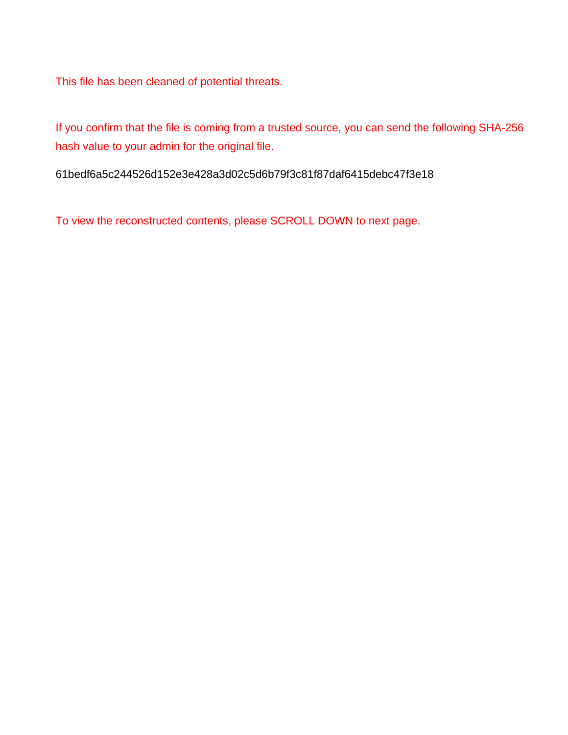This file has been cleaned of potential threats.

If you confirm that the file is coming from a trusted source, you can send the following SHA-256 hash value to your admin for the original file.

61bedf6a5c244526d152e3e428a3d02c5d6b79f3c81f87daf6415debc47f3e18

To view the reconstructed contents, please SCROLL DOWN to next page.